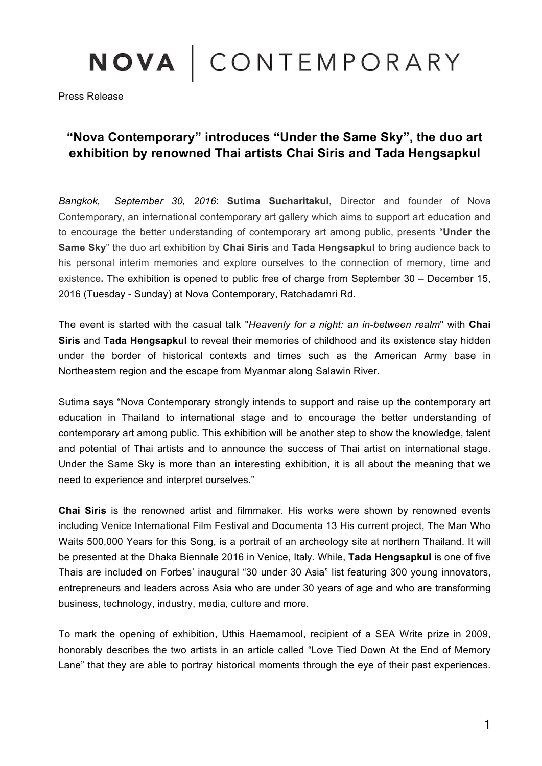## NOVA | CONTEMPORARY

Press Release

## **"Nova Contemporary" introduces "Under the Same Sky", the duo art exhibition by renowned Thai artists Chai Siris and Tada Hengsapkul**

*Bangkok, September 30, 2016*: **Sutima Sucharitakul**, Director and founder of Nova Contemporary, an international contemporary art gallery which aims to support art education and to encourage the better understanding of contemporary art among public, presents "**Under the Same Sky**" the duo art exhibition by **Chai Siris** and **Tada Hengsapkul** to bring audience back to his personal interim memories and explore ourselves to the connection of memory, time and existence**.** The exhibition is opened to public free of charge from September 30 – December 15, 2016 (Tuesday - Sunday) at Nova Contemporary, Ratchadamri Rd.

The event is started with the casual talk "*Heavenly for a night: an in-between realm*" with **Chai Siris** and **Tada Hengsapkul** to reveal their memories of childhood and its existence stay hidden under the border of historical contexts and times such as the American Army base in Northeastern region and the escape from Myanmar along Salawin River.

Sutima says "Nova Contemporary strongly intends to support and raise up the contemporary art education in Thailand to international stage and to encourage the better understanding of contemporary art among public. This exhibition will be another step to show the knowledge, talent and potential of Thai artists and to announce the success of Thai artist on international stage. Under the Same Sky is more than an interesting exhibition, it is all about the meaning that we need to experience and interpret ourselves."

**Chai Siris** is the renowned artist and filmmaker. His works were shown by renowned events including Venice International Film Festival and Documenta 13 His current project, The Man Who Waits 500,000 Years for this Song, is a portrait of an archeology site at northern Thailand. It will be presented at the Dhaka Biennale 2016 in Venice, Italy. While, **Tada Hengsapkul** is one of five Thais are included on Forbes' inaugural "30 under 30 Asia" list featuring 300 young innovators, entrepreneurs and leaders across Asia who are under 30 years of age and who are transforming business, technology, industry, media, culture and more.

To mark the opening of exhibition, Uthis Haemamool, recipient of a SEA Write prize in 2009, honorably describes the two artists in an article called "Love Tied Down At the End of Memory Lane" that they are able to portray historical moments through the eye of their past experiences.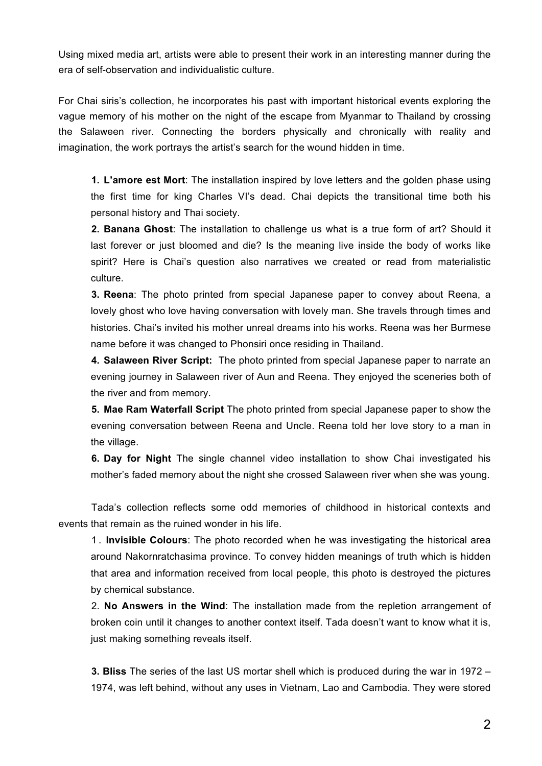Using mixed media art, artists were able to present their work in an interesting manner during the era of self-observation and individualistic culture.

For Chai siris's collection, he incorporates his past with important historical events exploring the vague memory of his mother on the night of the escape from Myanmar to Thailand by crossing the Salaween river. Connecting the borders physically and chronically with reality and imagination, the work portrays the artist's search for the wound hidden in time.

**1. L'amore est Mort**: The installation inspired by love letters and the golden phase using the first time for king Charles VI's dead. Chai depicts the transitional time both his personal history and Thai society.

**2. Banana Ghost**: The installation to challenge us what is a true form of art? Should it last forever or just bloomed and die? Is the meaning live inside the body of works like spirit? Here is Chai's question also narratives we created or read from materialistic culture.

**3. Reena**: The photo printed from special Japanese paper to convey about Reena, a lovely ghost who love having conversation with lovely man. She travels through times and histories. Chai's invited his mother unreal dreams into his works. Reena was her Burmese name before it was changed to Phonsiri once residing in Thailand.

**4. Salaween River Script:** The photo printed from special Japanese paper to narrate an evening journey in Salaween river of Aun and Reena. They enjoyed the sceneries both of the river and from memory.

**5. Mae Ram Waterfall Script** The photo printed from special Japanese paper to show the evening conversation between Reena and Uncle. Reena told her love story to a man in the village.

**6. Day for Night** The single channel video installation to show Chai investigated his mother's faded memory about the night she crossed Salaween river when she was young.

Tada's collection reflects some odd memories of childhood in historical contexts and events that remain as the ruined wonder in his life.

1. **Invisible Colours**: The photo recorded when he was investigating the historical area around Nakornratchasima province. To convey hidden meanings of truth which is hidden that area and information received from local people, this photo is destroyed the pictures by chemical substance.

2. **No Answers in the Wind**: The installation made from the repletion arrangement of broken coin until it changes to another context itself. Tada doesn't want to know what it is, just making something reveals itself.

**3. Bliss** The series of the last US mortar shell which is produced during the war in 1972 – 1974, was left behind, without any uses in Vietnam, Lao and Cambodia. They were stored